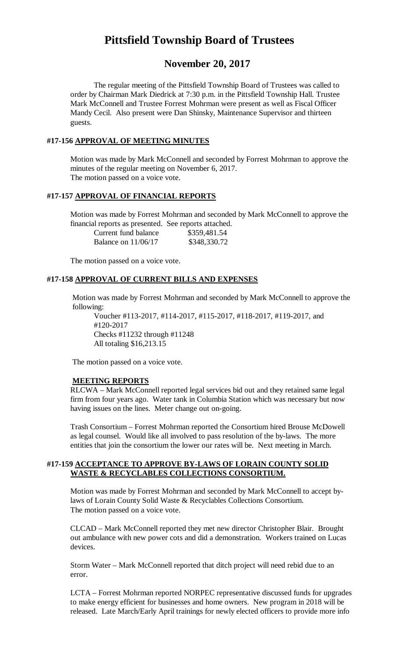# **Pittsfield Township Board of Trustees**

# **November 20, 2017**

The regular meeting of the Pittsfield Township Board of Trustees was called to order by Chairman Mark Diedrick at 7:30 p.m. in the Pittsfield Township Hall. Trustee Mark McConnell and Trustee Forrest Mohrman were present as well as Fiscal Officer Mandy Cecil. Also present were Dan Shinsky, Maintenance Supervisor and thirteen guests.

#### **#17-156 APPROVAL OF MEETING MINUTES**

Motion was made by Mark McConnell and seconded by Forrest Mohrman to approve the minutes of the regular meeting on November 6, 2017. The motion passed on a voice vote.

# **#17-157 APPROVAL OF FINANCIAL REPORTS**

Motion was made by Forrest Mohrman and seconded by Mark McConnell to approve the financial reports as presented. See reports attached.

| Current fund balance  | \$359,481.54 |
|-----------------------|--------------|
| Balance on $11/06/17$ | \$348,330.72 |

The motion passed on a voice vote.

# **#17-158 APPROVAL OF CURRENT BILLS AND EXPENSES**

Motion was made by Forrest Mohrman and seconded by Mark McConnell to approve the following:

Voucher #113-2017, #114-2017, #115-2017, #118-2017, #119-2017, and #120-2017 Checks #11232 through #11248 All totaling \$16,213.15

The motion passed on a voice vote.

#### **MEETING REPORTS**

RLCWA – Mark McConnell reported legal services bid out and they retained same legal firm from four years ago. Water tank in Columbia Station which was necessary but now having issues on the lines. Meter change out on-going.

Trash Consortium – Forrest Mohrman reported the Consortium hired Brouse McDowell as legal counsel. Would like all involved to pass resolution of the by-laws. The more entities that join the consortium the lower our rates will be. Next meeting in March.

### **#17-159 ACCEPTANCE TO APPROVE BY-LAWS OF LORAIN COUNTY SOLID WASTE & RECYCLABLES COLLECTIONS CONSORTIUM.**

Motion was made by Forrest Mohrman and seconded by Mark McConnell to accept bylaws of Lorain County Solid Waste & Recyclables Collections Consortium. The motion passed on a voice vote.

CLCAD – Mark McConnell reported they met new director Christopher Blair. Brought out ambulance with new power cots and did a demonstration. Workers trained on Lucas devices.

Storm Water – Mark McConnell reported that ditch project will need rebid due to an error.

LCTA – Forrest Mohrman reported NORPEC representative discussed funds for upgrades to make energy efficient for businesses and home owners. New program in 2018 will be released. Late March/Early April trainings for newly elected officers to provide more info